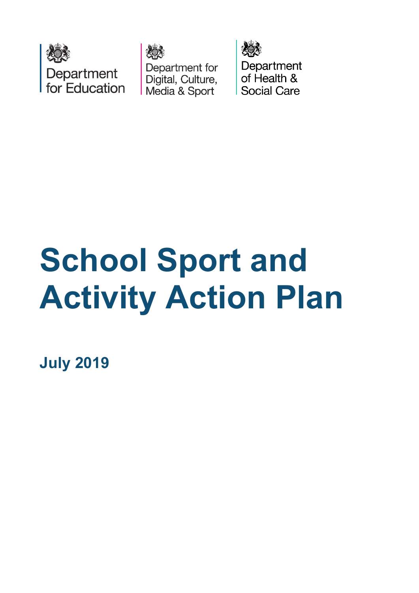





Department of Health & Social Care

# **School Sport and Activity Action Plan**

**July 2019**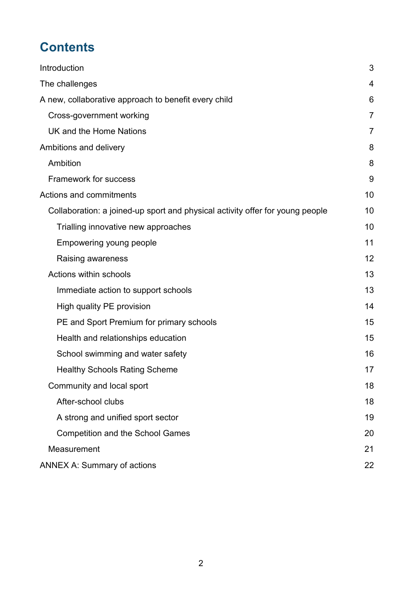## **Contents**

| Introduction                                                                  | 3  |
|-------------------------------------------------------------------------------|----|
| The challenges                                                                | 4  |
| A new, collaborative approach to benefit every child                          | 6  |
| Cross-government working                                                      | 7  |
| UK and the Home Nations                                                       | 7  |
| Ambitions and delivery                                                        | 8  |
| Ambition                                                                      | 8  |
| <b>Framework for success</b>                                                  | 9  |
| Actions and commitments                                                       | 10 |
| Collaboration: a joined-up sport and physical activity offer for young people | 10 |
| Trialling innovative new approaches                                           | 10 |
| Empowering young people                                                       | 11 |
| Raising awareness                                                             | 12 |
| Actions within schools                                                        | 13 |
| Immediate action to support schools                                           | 13 |
| High quality PE provision                                                     | 14 |
| PE and Sport Premium for primary schools                                      | 15 |
| Health and relationships education                                            | 15 |
| School swimming and water safety                                              | 16 |
| <b>Healthy Schools Rating Scheme</b>                                          | 17 |
| Community and local sport                                                     | 18 |
| After-school clubs                                                            | 18 |
| A strong and unified sport sector                                             | 19 |
| <b>Competition and the School Games</b>                                       | 20 |
| Measurement                                                                   | 21 |
| <b>ANNEX A: Summary of actions</b>                                            | 22 |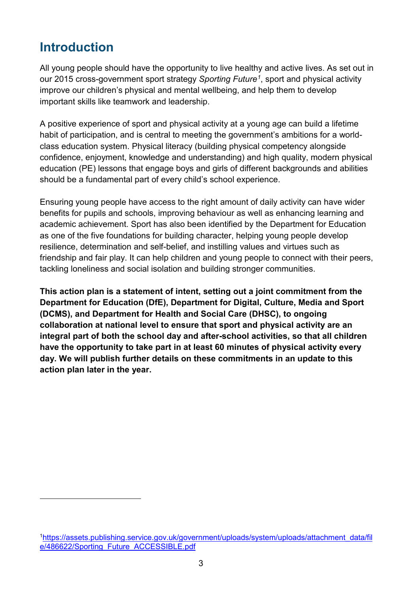## <span id="page-2-0"></span>**Introduction**

-

All young people should have the opportunity to live healthy and active lives. As set out in our 2015 cross-government sport strategy *Sporting Future[1](#page-2-1)*, sport and physical activity improve our children's physical and mental wellbeing, and help them to develop important skills like teamwork and leadership.

A positive experience of sport and physical activity at a young age can build a lifetime habit of participation, and is central to meeting the government's ambitions for a worldclass education system. Physical literacy (building physical competency alongside confidence, enjoyment, knowledge and understanding) and high quality, modern physical education (PE) lessons that engage boys and girls of different backgrounds and abilities should be a fundamental part of every child's school experience.

Ensuring young people have access to the right amount of daily activity can have wider benefits for pupils and schools, improving behaviour as well as enhancing learning and academic achievement. Sport has also been identified by the Department for Education as one of the five foundations for building character, helping young people develop resilience, determination and self-belief, and instilling values and virtues such as friendship and fair play. It can help children and young people to connect with their peers, tackling loneliness and social isolation and building stronger communities.

**This action plan is a statement of intent, setting out a joint commitment from the Department for Education (DfE), Department for Digital, Culture, Media and Sport (DCMS), and Department for Health and Social Care (DHSC), to ongoing collaboration at national level to ensure that sport and physical activity are an integral part of both the school day and after-school activities, so that all children have the opportunity to take part in at least 60 minutes of physical activity every day. We will publish further details on these commitments in an update to this action plan later in the year.** 

<span id="page-2-1"></span><sup>1</sup> [https://assets.publishing.service.gov.uk/government/uploads/system/uploads/attachment\\_data/fil](https://assets.publishing.service.gov.uk/government/uploads/system/uploads/attachment_data/file/486622/Sporting_Future_ACCESSIBLE.pdf) [e/486622/Sporting\\_Future\\_ACCESSIBLE.pdf](https://assets.publishing.service.gov.uk/government/uploads/system/uploads/attachment_data/file/486622/Sporting_Future_ACCESSIBLE.pdf)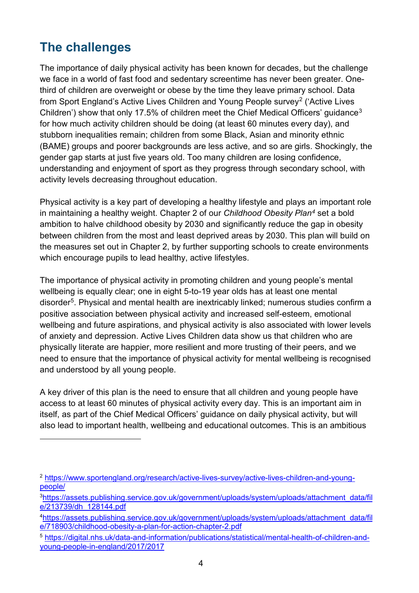## <span id="page-3-0"></span>**The challenges**

<u>.</u>

The importance of daily physical activity has been known for decades, but the challenge we face in a world of fast food and sedentary screentime has never been greater. Onethird of children are overweight or obese by the time they leave primary school. Data from Sport England's Active Lives Children and Young People survey[2](#page-3-1) ('Active Lives Children') show that only 17.5% of children meet the Chief Medical Officers' quidance<sup>[3](#page-3-2)</sup> for how much activity children should be doing (at least 60 minutes every day), and stubborn inequalities remain; children from some Black, Asian and minority ethnic (BAME) groups and poorer backgrounds are less active, and so are girls. Shockingly, the gender gap starts at just five years old. Too many children are losing confidence, understanding and enjoyment of sport as they progress through secondary school, with activity levels decreasing throughout education.

Physical activity is a key part of developing a healthy lifestyle and plays an important role in maintaining a healthy weight. Chapter 2 of our *Childhood Obesity Plan[4](#page-3-3)* set a bold ambition to halve childhood obesity by 2030 and significantly reduce the gap in obesity between children from the most and least deprived areas by 2030. This plan will build on the measures set out in Chapter 2, by further supporting schools to create environments which encourage pupils to lead healthy, active lifestyles.

The importance of physical activity in promoting children and young people's mental wellbeing is equally clear; one in eight 5-to-19 year olds has at least one mental disorder<sup>[5](#page-3-4)</sup>. Physical and mental health are inextricably linked; numerous studies confirm a positive association between physical activity and increased self-esteem, emotional wellbeing and future aspirations, and physical activity is also associated with lower levels of anxiety and depression. Active Lives Children data show us that children who are physically literate are happier, more resilient and more trusting of their peers, and we need to ensure that the importance of physical activity for mental wellbeing is recognised and understood by all young people.

A key driver of this plan is the need to ensure that all children and young people have access to at least 60 minutes of physical activity every day. This is an important aim in itself, as part of the Chief Medical Officers' guidance on daily physical activity, but will also lead to important health, wellbeing and educational outcomes. This is an ambitious

<span id="page-3-1"></span><sup>2</sup> [https://www.sportengland.org/research/active-lives-survey/active-lives-children-and-young](https://www.sportengland.org/research/active-lives-survey/active-lives-children-and-young-people/)[people/](https://www.sportengland.org/research/active-lives-survey/active-lives-children-and-young-people/)

<span id="page-3-2"></span><sup>3</sup> [https://assets.publishing.service.gov.uk/government/uploads/system/uploads/attachment\\_data/fil](https://assets.publishing.service.gov.uk/government/uploads/system/uploads/attachment_data/file/213739/dh_128144.pdf) [e/213739/dh\\_128144.pdf](https://assets.publishing.service.gov.uk/government/uploads/system/uploads/attachment_data/file/213739/dh_128144.pdf)

<span id="page-3-3"></span><sup>4</sup> [https://assets.publishing.service.gov.uk/government/uploads/system/uploads/attachment\\_data/fil](https://assets.publishing.service.gov.uk/government/uploads/system/uploads/attachment_data/file/718903/childhood-obesity-a-plan-for-action-chapter-2.pdf) [e/718903/childhood-obesity-a-plan-for-action-chapter-2.pdf](https://assets.publishing.service.gov.uk/government/uploads/system/uploads/attachment_data/file/718903/childhood-obesity-a-plan-for-action-chapter-2.pdf)

<span id="page-3-4"></span><sup>5</sup> [https://digital.nhs.uk/data-and-information/publications/statistical/mental-health-of-children-and](https://digital.nhs.uk/data-and-information/publications/statistical/mental-health-of-children-and-young-people-in-england/2017/2017)[young-people-in-england/2017/2017](https://digital.nhs.uk/data-and-information/publications/statistical/mental-health-of-children-and-young-people-in-england/2017/2017)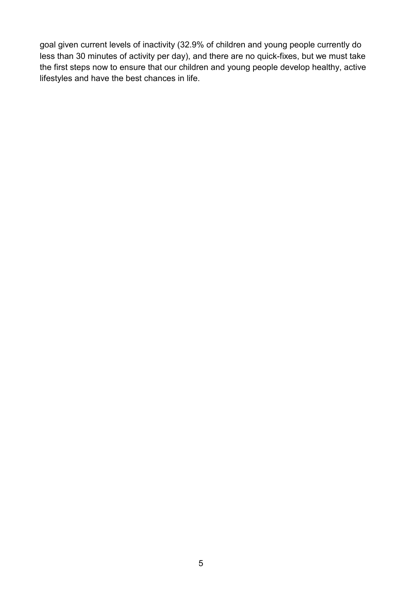goal given current levels of inactivity (32.9% of children and young people currently do less than 30 minutes of activity per day), and there are no quick-fixes, but we must take the first steps now to ensure that our children and young people develop healthy, active lifestyles and have the best chances in life.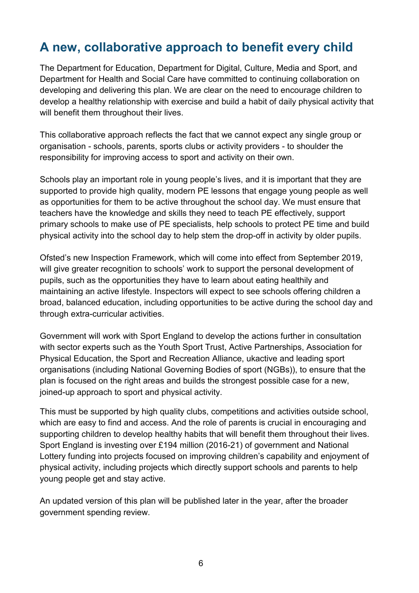## <span id="page-5-0"></span>**A new, collaborative approach to benefit every child**

The Department for Education, Department for Digital, Culture, Media and Sport, and Department for Health and Social Care have committed to continuing collaboration on developing and delivering this plan. We are clear on the need to encourage children to develop a healthy relationship with exercise and build a habit of daily physical activity that will benefit them throughout their lives.

This collaborative approach reflects the fact that we cannot expect any single group or organisation - schools, parents, sports clubs or activity providers - to shoulder the responsibility for improving access to sport and activity on their own.

Schools play an important role in young people's lives, and it is important that they are supported to provide high quality, modern PE lessons that engage young people as well as opportunities for them to be active throughout the school day. We must ensure that teachers have the knowledge and skills they need to teach PE effectively, support primary schools to make use of PE specialists, help schools to protect PE time and build physical activity into the school day to help stem the drop-off in activity by older pupils.

Ofsted's new Inspection Framework, which will come into effect from September 2019, will give greater recognition to schools' work to support the personal development of pupils, such as the opportunities they have to learn about eating healthily and maintaining an active lifestyle. Inspectors will expect to see schools offering children a broad, balanced education, including opportunities to be active during the school day and through extra-curricular activities.

Government will work with Sport England to develop the actions further in consultation with sector experts such as the Youth Sport Trust, Active Partnerships, Association for Physical Education, the Sport and Recreation Alliance, ukactive and leading sport organisations (including National Governing Bodies of sport (NGBs)), to ensure that the plan is focused on the right areas and builds the strongest possible case for a new, joined-up approach to sport and physical activity.

This must be supported by high quality clubs, competitions and activities outside school, which are easy to find and access. And the role of parents is crucial in encouraging and supporting children to develop healthy habits that will benefit them throughout their lives. Sport England is investing over £194 million (2016-21) of government and National Lottery funding into projects focused on improving children's capability and enjoyment of physical activity, including projects which directly support schools and parents to help young people get and stay active.

An updated version of this plan will be published later in the year, after the broader government spending review.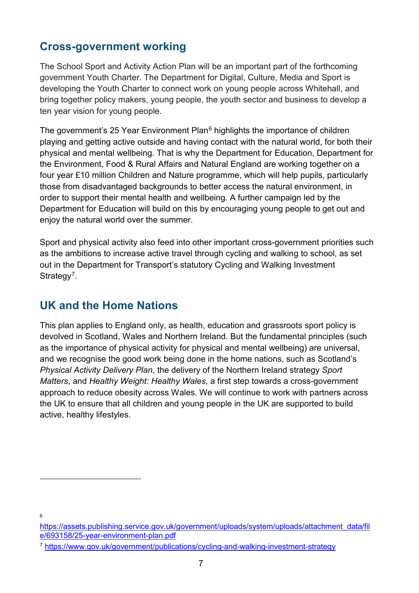#### <span id="page-6-0"></span>**Cross-government working**

The School Sport and Activity Action Plan will be an important part of the forthcoming government Youth Charter. The Department for Digital, Culture, Media and Sport is developing the Youth Charter to connect work on young people across Whitehall, and bring together policy makers, young people, the youth sector and business to develop a ten year vision for young people.

The government's 25 Year Environment Plan<sup>[6](#page-6-2)</sup> highlights the importance of children playing and getting active outside and having contact with the natural world, for both their physical and mental wellbeing. That is why the Department for Education, Department for the Environment, Food & Rural Affairs and Natural England are working together on a four year £10 million Children and Nature programme, which will help pupils, particularly those from disadvantaged backgrounds to better access the natural environment, in order to support their mental health and wellbeing. A further campaign led by the Department for Education will build on this by encouraging young people to get out and enjoy the natural world over the summer.

Sport and physical activity also feed into other important cross-government priorities such as the ambitions to increase active travel through cycling and walking to school, as set out in the Department for Transport's statutory Cycling and Walking Investment Strategy<sup>[7](#page-6-3)</sup>.

### <span id="page-6-1"></span>**UK and the Home Nations**

This plan applies to England only, as health, education and grassroots sport policy is devolved in Scotland, Wales and Northern Ireland. But the fundamental principles (such as the importance of physical activity for physical and mental wellbeing) are universal, and we recognise the good work being done in the home nations, such as Scotland's *Physical Activity Delivery Plan*, the delivery of the Northern Ireland strategy *Sport Matters*, and *Healthy Weight: Healthy Wales*, a first step towards a cross-government approach to reduce obesity across Wales. We will continue to work with partners across the UK to ensure that all children and young people in the UK are supported to build active, healthy lifestyles.

6

<span id="page-6-2"></span>[https://assets.publishing.service.gov.uk/government/uploads/system/uploads/attachment\\_data/fil](https://assets.publishing.service.gov.uk/government/uploads/system/uploads/attachment_data/file/693158/25-year-environment-plan.pdf) [e/693158/25-year-environment-plan.pdf](https://assets.publishing.service.gov.uk/government/uploads/system/uploads/attachment_data/file/693158/25-year-environment-plan.pdf)

<span id="page-6-3"></span><sup>7</sup> <https://www.gov.uk/government/publications/cycling-and-walking-investment-strategy>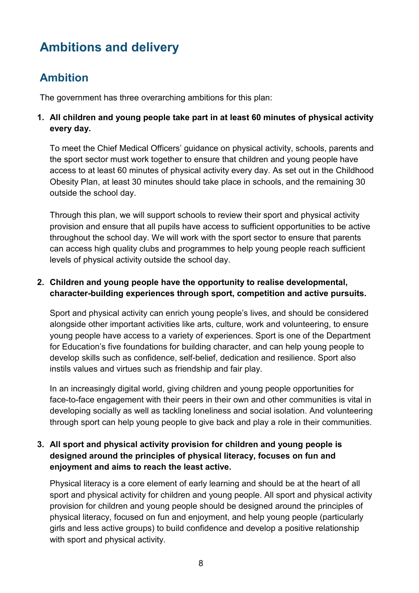## <span id="page-7-0"></span>**Ambitions and delivery**

## <span id="page-7-1"></span>**Ambition**

The government has three overarching ambitions for this plan:

#### **1. All children and young people take part in at least 60 minutes of physical activity every day.**

To meet the Chief Medical Officers' guidance on physical activity, schools, parents and the sport sector must work together to ensure that children and young people have access to at least 60 minutes of physical activity every day. As set out in the Childhood Obesity Plan, at least 30 minutes should take place in schools, and the remaining 30 outside the school day.

Through this plan, we will support schools to review their sport and physical activity provision and ensure that all pupils have access to sufficient opportunities to be active throughout the school day. We will work with the sport sector to ensure that parents can access high quality clubs and programmes to help young people reach sufficient levels of physical activity outside the school day.

#### **2. Children and young people have the opportunity to realise developmental, character-building experiences through sport, competition and active pursuits.**

Sport and physical activity can enrich young people's lives, and should be considered alongside other important activities like arts, culture, work and volunteering, to ensure young people have access to a variety of experiences. Sport is one of the Department for Education's five foundations for building character, and can help young people to develop skills such as confidence, self-belief, dedication and resilience. Sport also instils values and virtues such as friendship and fair play.

In an increasingly digital world, giving children and young people opportunities for face-to-face engagement with their peers in their own and other communities is vital in developing socially as well as tackling loneliness and social isolation. And volunteering through sport can help young people to give back and play a role in their communities.

#### **3. All sport and physical activity provision for children and young people is designed around the principles of physical literacy, focuses on fun and enjoyment and aims to reach the least active.**

Physical literacy is a core element of early learning and should be at the heart of all sport and physical activity for children and young people. All sport and physical activity provision for children and young people should be designed around the principles of physical literacy, focused on fun and enjoyment, and help young people (particularly girls and less active groups) to build confidence and develop a positive relationship with sport and physical activity.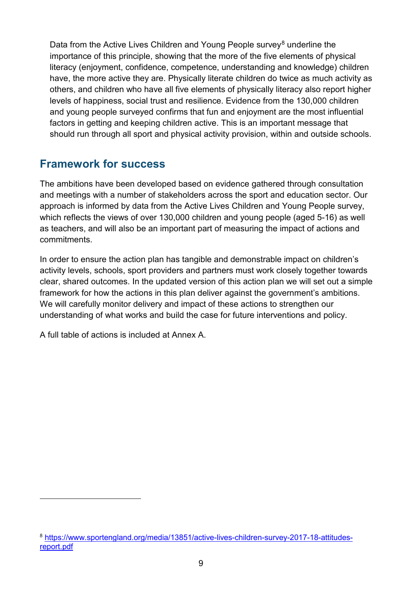Data from the Active Lives Children and Young People survey<sup>[8](#page-8-1)</sup> underline the importance of this principle, showing that the more of the five elements of physical literacy (enjoyment, confidence, competence, understanding and knowledge) children have, the more active they are. Physically literate children do twice as much activity as others, and children who have all five elements of physically literacy also report higher levels of happiness, social trust and resilience. Evidence from the 130,000 children and young people surveyed confirms that fun and enjoyment are the most influential factors in getting and keeping children active. This is an important message that should run through all sport and physical activity provision, within and outside schools.

#### <span id="page-8-0"></span>**Framework for success**

The ambitions have been developed based on evidence gathered through consultation and meetings with a number of stakeholders across the sport and education sector. Our approach is informed by data from the Active Lives Children and Young People survey, which reflects the views of over 130,000 children and young people (aged 5-16) as well as teachers, and will also be an important part of measuring the impact of actions and commitments.

In order to ensure the action plan has tangible and demonstrable impact on children's activity levels, schools, sport providers and partners must work closely together towards clear, shared outcomes. In the updated version of this action plan we will set out a simple framework for how the actions in this plan deliver against the government's ambitions. We will carefully monitor delivery and impact of these actions to strengthen our understanding of what works and build the case for future interventions and policy.

A full table of actions is included at Annex A.

<span id="page-8-1"></span><sup>8</sup> [https://www.sportengland.org/media/13851/active-lives-children-survey-2017-18-attitudes](https://www.sportengland.org/media/13851/active-lives-children-survey-2017-18-attitudes-report.pdf)[report.pdf](https://www.sportengland.org/media/13851/active-lives-children-survey-2017-18-attitudes-report.pdf)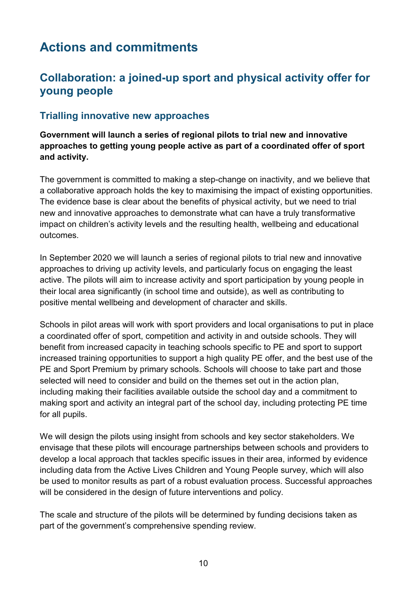## <span id="page-9-0"></span>**Actions and commitments**

#### <span id="page-9-1"></span>**Collaboration: a joined-up sport and physical activity offer for young people**

#### <span id="page-9-2"></span>**Trialling innovative new approaches**

**Government will launch a series of regional pilots to trial new and innovative approaches to getting young people active as part of a coordinated offer of sport and activity.** 

The government is committed to making a step-change on inactivity, and we believe that a collaborative approach holds the key to maximising the impact of existing opportunities. The evidence base is clear about the benefits of physical activity, but we need to trial new and innovative approaches to demonstrate what can have a truly transformative impact on children's activity levels and the resulting health, wellbeing and educational outcomes.

In September 2020 we will launch a series of regional pilots to trial new and innovative approaches to driving up activity levels, and particularly focus on engaging the least active. The pilots will aim to increase activity and sport participation by young people in their local area significantly (in school time and outside), as well as contributing to positive mental wellbeing and development of character and skills.

Schools in pilot areas will work with sport providers and local organisations to put in place a coordinated offer of sport, competition and activity in and outside schools. They will benefit from increased capacity in teaching schools specific to PE and sport to support increased training opportunities to support a high quality PE offer, and the best use of the PE and Sport Premium by primary schools. Schools will choose to take part and those selected will need to consider and build on the themes set out in the action plan, including making their facilities available outside the school day and a commitment to making sport and activity an integral part of the school day, including protecting PE time for all pupils.

We will design the pilots using insight from schools and key sector stakeholders. We envisage that these pilots will encourage partnerships between schools and providers to develop a local approach that tackles specific issues in their area, informed by evidence including data from the Active Lives Children and Young People survey, which will also be used to monitor results as part of a robust evaluation process. Successful approaches will be considered in the design of future interventions and policy.

The scale and structure of the pilots will be determined by funding decisions taken as part of the government's comprehensive spending review.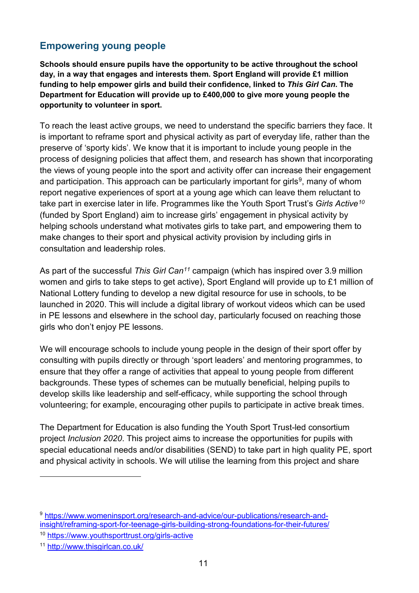#### <span id="page-10-0"></span>**Empowering young people**

**Schools should ensure pupils have the opportunity to be active throughout the school day, in a way that engages and interests them. Sport England will provide £1 million funding to help empower girls and build their confidence, linked to** *This Girl Can***. The Department for Education will provide up to £400,000 to give more young people the opportunity to volunteer in sport.**

To reach the least active groups, we need to understand the specific barriers they face. It is important to reframe sport and physical activity as part of everyday life, rather than the preserve of 'sporty kids'. We know that it is important to include young people in the process of designing policies that affect them, and research has shown that incorporating the views of young people into the sport and activity offer can increase their engagement and participation. This approach can be particularly important for girls<sup>[9](#page-10-1)</sup>, many of whom report negative experiences of sport at a young age which can leave them reluctant to take part in exercise later in life. Programmes like the Youth Sport Trust's *Girls Active[10](#page-10-2)* (funded by Sport England) aim to increase girls' engagement in physical activity by helping schools understand what motivates girls to take part, and empowering them to make changes to their sport and physical activity provision by including girls in consultation and leadership roles.

As part of the successful *This Girl Can[11](#page-10-3)* campaign (which has inspired over 3.9 million women and girls to take steps to get active), Sport England will provide up to £1 million of National Lottery funding to develop a new digital resource for use in schools, to be launched in 2020. This will include a digital library of workout videos which can be used in PE lessons and elsewhere in the school day, particularly focused on reaching those girls who don't enjoy PE lessons.

We will encourage schools to include young people in the design of their sport offer by consulting with pupils directly or through 'sport leaders' and mentoring programmes, to ensure that they offer a range of activities that appeal to young people from different backgrounds. These types of schemes can be mutually beneficial, helping pupils to develop skills like leadership and self-efficacy, while supporting the school through volunteering; for example, encouraging other pupils to participate in active break times.

The Department for Education is also funding the Youth Sport Trust-led consortium project *Inclusion 2020*. This project aims to increase the opportunities for pupils with special educational needs and/or disabilities (SEND) to take part in high quality PE, sport and physical activity in schools. We will utilise the learning from this project and share

<span id="page-10-1"></span><sup>9</sup> [https://www.womeninsport.org/research-and-advice/our-publications/research-and](https://www.womeninsport.org/research-and-advice/our-publications/research-and-insight/reframing-sport-for-teenage-girls-building-strong-foundations-for-their-futures/)[insight/reframing-sport-for-teenage-girls-building-strong-foundations-for-their-futures/](https://www.womeninsport.org/research-and-advice/our-publications/research-and-insight/reframing-sport-for-teenage-girls-building-strong-foundations-for-their-futures/)

<span id="page-10-2"></span><sup>10</sup> <https://www.youthsporttrust.org/girls-active>

<span id="page-10-3"></span><sup>11</sup> <http://www.thisgirlcan.co.uk/>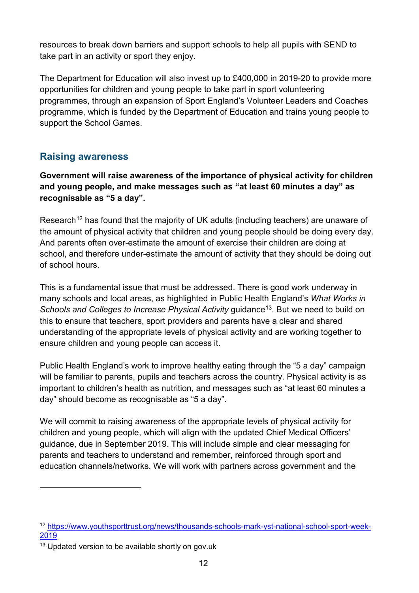resources to break down barriers and support schools to help all pupils with SEND to take part in an activity or sport they enjoy.

The Department for Education will also invest up to £400,000 in 2019-20 to provide more opportunities for children and young people to take part in sport volunteering programmes, through an expansion of Sport England's Volunteer Leaders and Coaches programme, which is funded by the Department of Education and trains young people to support the School Games.

#### <span id="page-11-0"></span>**Raising awareness**

**Government will raise awareness of the importance of physical activity for children and young people, and make messages such as "at least 60 minutes a day" as recognisable as "5 a day".**

Research<sup>12</sup> has found that the majority of UK adults (including teachers) are unaware of the amount of physical activity that children and young people should be doing every day. And parents often over-estimate the amount of exercise their children are doing at school, and therefore under-estimate the amount of activity that they should be doing out of school hours.

This is a fundamental issue that must be addressed. There is good work underway in many schools and local areas, as highlighted in Public Health England's *What Works in Schools and Colleges to Increase Physical Activity* guidance<sup>[13](#page-11-2)</sup>. But we need to build on this to ensure that teachers, sport providers and parents have a clear and shared understanding of the appropriate levels of physical activity and are working together to ensure children and young people can access it.

Public Health England's work to improve healthy eating through the "5 a day" campaign will be familiar to parents, pupils and teachers across the country. Physical activity is as important to children's health as nutrition, and messages such as "at least 60 minutes a day" should become as recognisable as "5 a day".

We will commit to raising awareness of the appropriate levels of physical activity for children and young people, which will align with the updated Chief Medical Officers' guidance, due in September 2019. This will include simple and clear messaging for parents and teachers to understand and remember, reinforced through sport and education channels/networks. We will work with partners across government and the

<span id="page-11-1"></span><sup>12</sup> [https://www.youthsporttrust.org/news/thousands-schools-mark-yst-national-school-sport-week-](https://www.youthsporttrust.org/news/thousands-schools-mark-yst-national-school-sport-week-2019)[2019](https://www.youthsporttrust.org/news/thousands-schools-mark-yst-national-school-sport-week-2019)

<span id="page-11-2"></span><sup>&</sup>lt;sup>13</sup> Updated version to be available shortly on gov.uk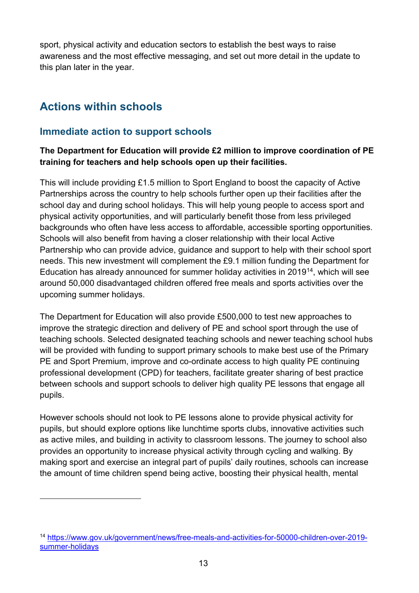sport, physical activity and education sectors to establish the best ways to raise awareness and the most effective messaging, and set out more detail in the update to this plan later in the year.

## <span id="page-12-0"></span>**Actions within schools**

#### <span id="page-12-1"></span>**Immediate action to support schools**

#### **The Department for Education will provide £2 million to improve coordination of PE training for teachers and help schools open up their facilities.**

This will include providing £1.5 million to Sport England to boost the capacity of Active Partnerships across the country to help schools further open up their facilities after the school day and during school holidays. This will help young people to access sport and physical activity opportunities, and will particularly benefit those from less privileged backgrounds who often have less access to affordable, accessible sporting opportunities. Schools will also benefit from having a closer relationship with their local Active Partnership who can provide advice, guidance and support to help with their school sport needs. This new investment will complement the £9.1 million funding the Department for Education has already announced for summer holiday activities in 2019[14,](#page-12-2) which will see around 50,000 disadvantaged children offered free meals and sports activities over the upcoming summer holidays.

The Department for Education will also provide £500,000 to test new approaches to improve the strategic direction and delivery of PE and school sport through the use of teaching schools. Selected designated teaching schools and newer teaching school hubs will be provided with funding to support primary schools to make best use of the Primary PE and Sport Premium, improve and co-ordinate access to high quality PE continuing professional development (CPD) for teachers, facilitate greater sharing of best practice between schools and support schools to deliver high quality PE lessons that engage all pupils.

However schools should not look to PE lessons alone to provide physical activity for pupils, but should explore options like lunchtime sports clubs, innovative activities such as active miles, and building in activity to classroom lessons. The journey to school also provides an opportunity to increase physical activity through cycling and walking. By making sport and exercise an integral part of pupils' daily routines, schools can increase the amount of time children spend being active, boosting their physical health, mental

<span id="page-12-2"></span><sup>14</sup> [https://www.gov.uk/government/news/free-meals-and-activities-for-50000-children-over-2019](https://www.gov.uk/government/news/free-meals-and-activities-for-50000-children-over-2019-summer-holidays) [summer-holidays](https://www.gov.uk/government/news/free-meals-and-activities-for-50000-children-over-2019-summer-holidays)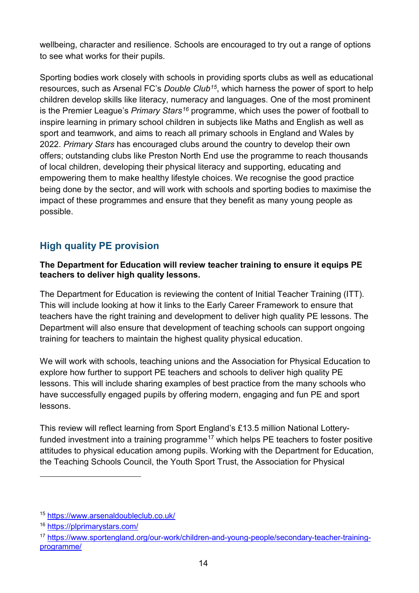wellbeing, character and resilience. Schools are encouraged to try out a range of options to see what works for their pupils.

Sporting bodies work closely with schools in providing sports clubs as well as educational resources, such as Arsenal FC's *Double Club[15](#page-13-1)*, which harness the power of sport to help children develop skills like literacy, numeracy and languages. One of the most prominent is the Premier League's *Primary Stars[16](#page-13-2)* programme, which uses the power of football to inspire learning in primary school children in subjects like Maths and English as well as sport and teamwork, and aims to reach all primary schools in England and Wales by 2022. *Primary Stars* has encouraged clubs around the country to develop their own offers; outstanding clubs like Preston North End use the programme to reach thousands of local children, developing their physical literacy and supporting, educating and empowering them to make healthy lifestyle choices. We recognise the good practice being done by the sector, and will work with schools and sporting bodies to maximise the impact of these programmes and ensure that they benefit as many young people as possible.

#### <span id="page-13-0"></span>**High quality PE provision**

#### **The Department for Education will review teacher training to ensure it equips PE teachers to deliver high quality lessons.**

The Department for Education is reviewing the content of Initial Teacher Training (ITT). This will include looking at how it links to the Early Career Framework to ensure that teachers have the right training and development to deliver high quality PE lessons. The Department will also ensure that development of teaching schools can support ongoing training for teachers to maintain the highest quality physical education.

We will work with schools, teaching unions and the Association for Physical Education to explore how further to support PE teachers and schools to deliver high quality PE lessons. This will include sharing examples of best practice from the many schools who have successfully engaged pupils by offering modern, engaging and fun PE and sport lessons.

This review will reflect learning from Sport England's £13.5 million National Lottery-funded investment into a training programme<sup>[17](#page-13-3)</sup> which helps PE teachers to foster positive attitudes to physical education among pupils. Working with the Department for Education, the Teaching Schools Council, the Youth Sport Trust, the Association for Physical

<span id="page-13-1"></span><sup>15</sup> <https://www.arsenaldoubleclub.co.uk/>

<span id="page-13-2"></span><sup>16</sup> <https://plprimarystars.com/>

<span id="page-13-3"></span><sup>17</sup> [https://www.sportengland.org/our-work/children-and-young-people/secondary-teacher-training](https://www.sportengland.org/our-work/children-and-young-people/secondary-teacher-training-programme/)[programme/](https://www.sportengland.org/our-work/children-and-young-people/secondary-teacher-training-programme/)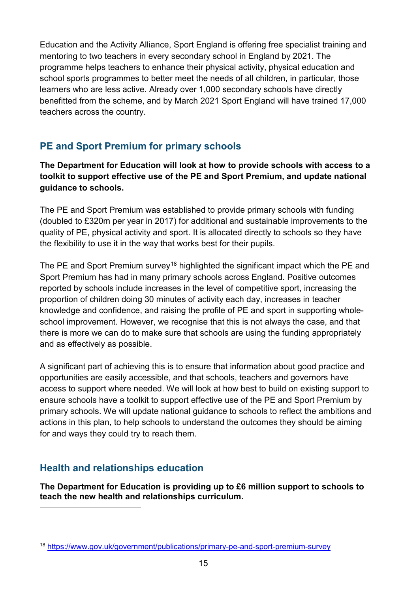Education and the Activity Alliance, Sport England is offering free specialist training and mentoring to two teachers in every secondary school in England by 2021. The programme helps teachers to enhance their physical activity, physical education and school sports programmes to better meet the needs of all children, in particular, those learners who are less active. Already over 1,000 secondary schools have directly benefitted from the scheme, and by March 2021 Sport England will have trained 17,000 teachers across the country.

#### <span id="page-14-0"></span>**PE and Sport Premium for primary schools**

**The Department for Education will look at how to provide schools with access to a toolkit to support effective use of the PE and Sport Premium, and update national guidance to schools.**

The PE and Sport Premium was established to provide primary schools with funding (doubled to £320m per year in 2017) for additional and sustainable improvements to the quality of PE, physical activity and sport. It is allocated directly to schools so they have the flexibility to use it in the way that works best for their pupils.

The PE and Sport Premium survey<sup>[18](#page-14-2)</sup> highlighted the significant impact which the PE and Sport Premium has had in many primary schools across England. Positive outcomes reported by schools include increases in the level of competitive sport, increasing the proportion of children doing 30 minutes of activity each day, increases in teacher knowledge and confidence, and raising the profile of PE and sport in supporting wholeschool improvement. However, we recognise that this is not always the case, and that there is more we can do to make sure that schools are using the funding appropriately and as effectively as possible.

A significant part of achieving this is to ensure that information about good practice and opportunities are easily accessible, and that schools, teachers and governors have access to support where needed. We will look at how best to build on existing support to ensure schools have a toolkit to support effective use of the PE and Sport Premium by primary schools. We will update national guidance to schools to reflect the ambitions and actions in this plan, to help schools to understand the outcomes they should be aiming for and ways they could try to reach them.

#### <span id="page-14-1"></span>**Health and relationships education**

**The Department for Education is providing up to £6 million support to schools to teach the new health and relationships curriculum.**

<span id="page-14-2"></span><sup>18</sup> <https://www.gov.uk/government/publications/primary-pe-and-sport-premium-survey>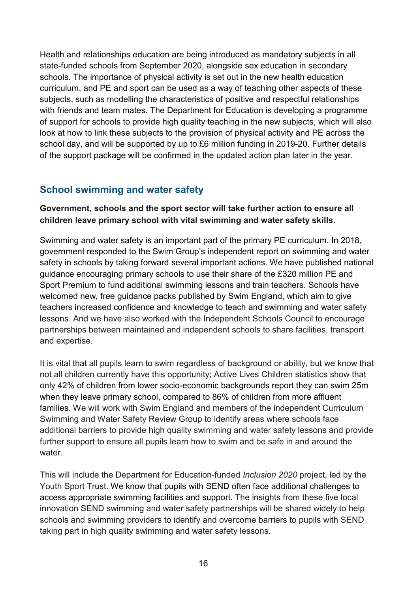Health and relationships education are being introduced as mandatory subjects in all state-funded schools from September 2020, alongside sex education in secondary schools. The importance of physical activity is set out in the new health education curriculum, and PE and sport can be used as a way of teaching other aspects of these subjects, such as modelling the characteristics of positive and respectful relationships with friends and team mates. The Department for Education is developing a programme of support for schools to provide high quality teaching in the new subjects, which will also look at how to link these subjects to the provision of physical activity and PE across the school day, and will be supported by up to £6 million funding in 2019-20. Further details of the support package will be confirmed in the updated action plan later in the year.

#### <span id="page-15-0"></span>**School swimming and water safety**

#### **Government, schools and the sport sector will take further action to ensure all children leave primary school with vital swimming and water safety skills.**

Swimming and water safety is an important part of the primary PE curriculum. In 2018, government responded to the Swim Group's independent report on swimming and water safety in schools by taking forward several important actions. We have published national guidance encouraging primary schools to use their share of the £320 million PE and Sport Premium to fund additional swimming lessons and train teachers. Schools have welcomed new, free guidance packs published by Swim England, which aim to give teachers increased confidence and knowledge to teach and swimming and water safety lessons. And we have also worked with the Independent Schools Council to encourage partnerships between maintained and independent schools to share facilities, transport and expertise.

It is vital that all pupils learn to swim regardless of background or ability, but we know that not all children currently have this opportunity; Active Lives Children statistics show that only 42% of children from lower socio-economic backgrounds report they can swim 25m when they leave primary school, compared to 86% of children from more affluent families. We will work with Swim England and members of the independent Curriculum Swimming and Water Safety Review Group to identify areas where schools face additional barriers to provide high quality swimming and water safety lessons and provide further support to ensure all pupils learn how to swim and be safe in and around the water

This will include the Department for Education-funded *Inclusion 2020* project, led by the Youth Sport Trust. We know that pupils with SEND often face additional challenges to access appropriate swimming facilities and support. The insights from these five local innovation SEND swimming and water safety partnerships will be shared widely to help schools and swimming providers to identify and overcome barriers to pupils with SEND taking part in high quality swimming and water safety lessons.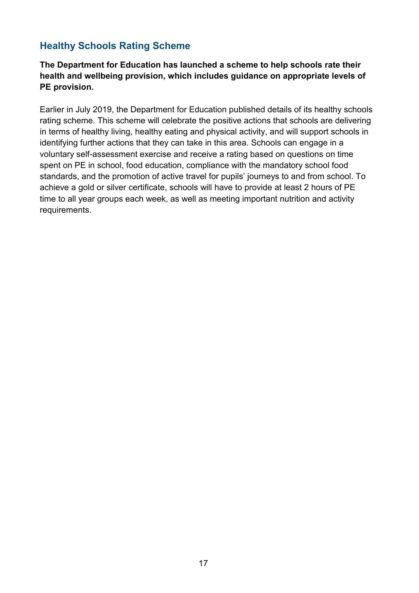#### <span id="page-16-0"></span>**Healthy Schools Rating Scheme**

**The Department for Education has launched a scheme to help schools rate their health and wellbeing provision, which includes guidance on appropriate levels of PE provision.** 

Earlier in July 2019, the Department for Education published details of its healthy schools rating scheme. This scheme will celebrate the positive actions that schools are delivering in terms of healthy living, healthy eating and physical activity, and will support schools in identifying further actions that they can take in this area. Schools can engage in a voluntary self-assessment exercise and receive a rating based on questions on time spent on PE in school, food education, compliance with the mandatory school food standards, and the promotion of active travel for pupils' journeys to and from school. To achieve a gold or silver certificate, schools will have to provide at least 2 hours of PE time to all year groups each week, as well as meeting important nutrition and activity requirements.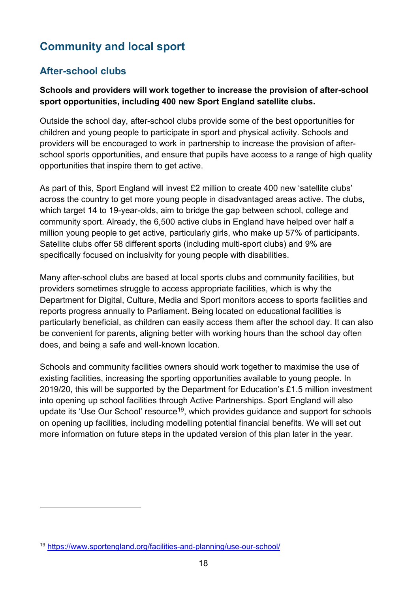## <span id="page-17-0"></span>**Community and local sport**

#### <span id="page-17-1"></span>**After-school clubs**

#### **Schools and providers will work together to increase the provision of after-school sport opportunities, including 400 new Sport England satellite clubs.**

Outside the school day, after-school clubs provide some of the best opportunities for children and young people to participate in sport and physical activity. Schools and providers will be encouraged to work in partnership to increase the provision of afterschool sports opportunities, and ensure that pupils have access to a range of high quality opportunities that inspire them to get active.

As part of this, Sport England will invest £2 million to create 400 new 'satellite clubs' across the country to get more young people in disadvantaged areas active. The clubs, which target 14 to 19-year-olds, aim to bridge the gap between school, college and community sport. Already, the 6,500 active clubs in England have helped over half a million young people to get active, particularly girls, who make up 57% of participants. Satellite clubs offer 58 different sports (including multi-sport clubs) and 9% are specifically focused on inclusivity for young people with disabilities.

Many after-school clubs are based at local sports clubs and community facilities, but providers sometimes struggle to access appropriate facilities, which is why the Department for Digital, Culture, Media and Sport monitors access to sports facilities and reports progress annually to Parliament. Being located on educational facilities is particularly beneficial, as children can easily access them after the school day. It can also be convenient for parents, aligning better with working hours than the school day often does, and being a safe and well-known location.

Schools and community facilities owners should work together to maximise the use of existing facilities, increasing the sporting opportunities available to young people. In 2019/20, this will be supported by the Department for Education's £1.5 million investment into opening up school facilities through Active Partnerships. Sport England will also update its 'Use Our School' resource<sup>[19](#page-17-2)</sup>, which provides guidance and support for schools on opening up facilities, including modelling potential financial benefits. We will set out more information on future steps in the updated version of this plan later in the year.

-

<span id="page-17-2"></span><sup>19</sup> <https://www.sportengland.org/facilities-and-planning/use-our-school/>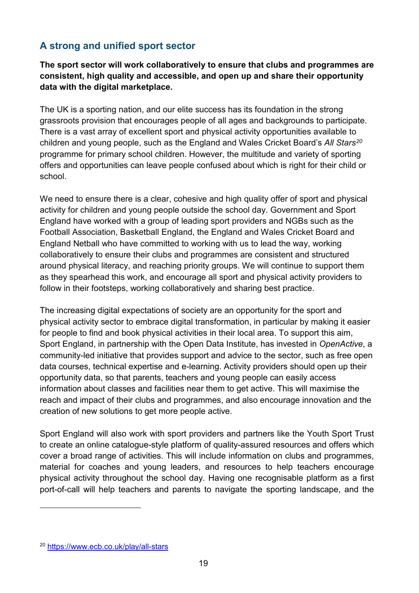#### <span id="page-18-0"></span>**A strong and unified sport sector**

**The sport sector will work collaboratively to ensure that clubs and programmes are consistent, high quality and accessible, and open up and share their opportunity data with the digital marketplace.** 

The UK is a sporting nation, and our elite success has its foundation in the strong grassroots provision that encourages people of all ages and backgrounds to participate. There is a vast array of excellent sport and physical activity opportunities available to children and young people, such as the England and Wales Cricket Board's *All Stars[20](#page-18-1)* programme for primary school children. However, the multitude and variety of sporting offers and opportunities can leave people confused about which is right for their child or school.

We need to ensure there is a clear, cohesive and high quality offer of sport and physical activity for children and young people outside the school day. Government and Sport England have worked with a group of leading sport providers and NGBs such as the Football Association, Basketball England, the England and Wales Cricket Board and England Netball who have committed to working with us to lead the way, working collaboratively to ensure their clubs and programmes are consistent and structured around physical literacy, and reaching priority groups. We will continue to support them as they spearhead this work, and encourage all sport and physical activity providers to follow in their footsteps, working collaboratively and sharing best practice.

The increasing digital expectations of society are an opportunity for the sport and physical activity sector to embrace digital transformation, in particular by making it easier for people to find and book physical activities in their local area. To support this aim, Sport England, in partnership with the Open Data Institute, has invested in *OpenActive*, a community-led initiative that provides support and advice to the sector, such as free open data courses, technical expertise and e-learning. Activity providers should open up their opportunity data, so that parents, teachers and young people can easily access information about classes and facilities near them to get active. This will maximise the reach and impact of their clubs and programmes, and also encourage innovation and the creation of new solutions to get more people active.

Sport England will also work with sport providers and partners like the Youth Sport Trust to create an online catalogue-style platform of quality-assured resources and offers which cover a broad range of activities. This will include information on clubs and programmes, material for coaches and young leaders, and resources to help teachers encourage physical activity throughout the school day. Having one recognisable platform as a first port-of-call will help teachers and parents to navigate the sporting landscape, and the

-

<span id="page-18-1"></span><sup>20</sup> <https://www.ecb.co.uk/play/all-stars>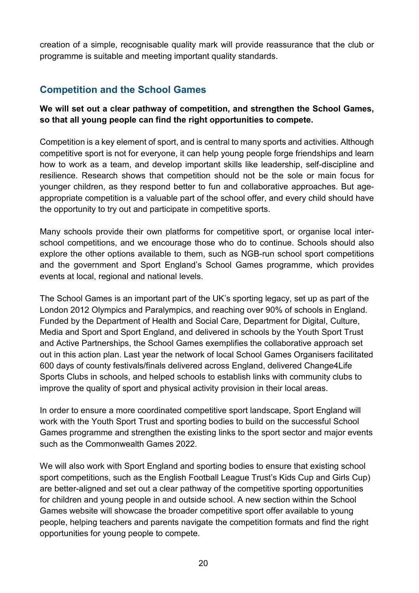creation of a simple, recognisable quality mark will provide reassurance that the club or programme is suitable and meeting important quality standards.

#### <span id="page-19-0"></span>**Competition and the School Games**

**We will set out a clear pathway of competition, and strengthen the School Games, so that all young people can find the right opportunities to compete.**

Competition is a key element of sport, and is central to many sports and activities. Although competitive sport is not for everyone, it can help young people forge friendships and learn how to work as a team, and develop important skills like leadership, self-discipline and resilience. Research shows that competition should not be the sole or main focus for younger children, as they respond better to fun and collaborative approaches. But ageappropriate competition is a valuable part of the school offer, and every child should have the opportunity to try out and participate in competitive sports.

Many schools provide their own platforms for competitive sport, or organise local interschool competitions, and we encourage those who do to continue. Schools should also explore the other options available to them, such as NGB-run school sport competitions and the government and Sport England's School Games programme, which provides events at local, regional and national levels.

The School Games is an important part of the UK's sporting legacy, set up as part of the London 2012 Olympics and Paralympics, and reaching over 90% of schools in England. Funded by the Department of Health and Social Care, Department for Digital, Culture, Media and Sport and Sport England, and delivered in schools by the Youth Sport Trust and Active Partnerships, the School Games exemplifies the collaborative approach set out in this action plan. Last year the network of local School Games Organisers facilitated 600 days of county festivals/finals delivered across England, delivered Change4Life Sports Clubs in schools, and helped schools to establish links with community clubs to improve the quality of sport and physical activity provision in their local areas.

In order to ensure a more coordinated competitive sport landscape, Sport England will work with the Youth Sport Trust and sporting bodies to build on the successful School Games programme and strengthen the existing links to the sport sector and major events such as the Commonwealth Games 2022.

We will also work with Sport England and sporting bodies to ensure that existing school sport competitions, such as the English Football League Trust's Kids Cup and Girls Cup) are better-aligned and set out a clear pathway of the competitive sporting opportunities for children and young people in and outside school. A new section within the School Games website will showcase the broader competitive sport offer available to young people, helping teachers and parents navigate the competition formats and find the right opportunities for young people to compete.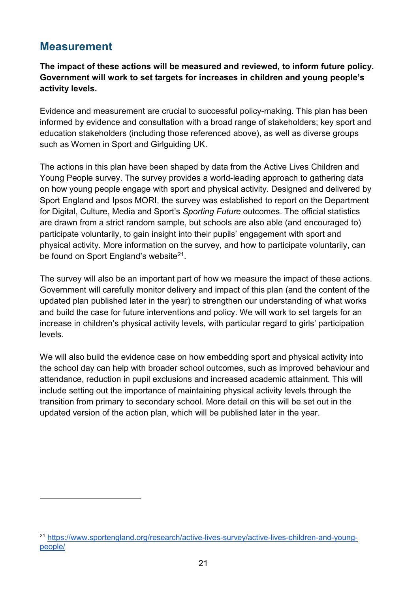#### <span id="page-20-0"></span>**Measurement**

-

**The impact of these actions will be measured and reviewed, to inform future policy. Government will work to set targets for increases in children and young people's activity levels.**

Evidence and measurement are crucial to successful policy-making. This plan has been informed by evidence and consultation with a broad range of stakeholders; key sport and education stakeholders (including those referenced above), as well as diverse groups such as Women in Sport and Girlguiding UK.

The actions in this plan have been shaped by data from the Active Lives Children and Young People survey. The survey provides a world-leading approach to gathering data on how young people engage with sport and physical activity. Designed and delivered by Sport England and Ipsos MORI, the survey was established to report on the Department for Digital, Culture, Media and Sport's *Sporting Future* outcomes. The official statistics are drawn from a strict random sample, but schools are also able (and encouraged to) participate voluntarily, to gain insight into their pupils' engagement with sport and physical activity. More information on the survey, and how to participate voluntarily, can be found on Sport England's website<sup>[21](#page-20-1)</sup>.

The survey will also be an important part of how we measure the impact of these actions. Government will carefully monitor delivery and impact of this plan (and the content of the updated plan published later in the year) to strengthen our understanding of what works and build the case for future interventions and policy. We will work to set targets for an increase in children's physical activity levels, with particular regard to girls' participation levels.

We will also build the evidence case on how embedding sport and physical activity into the school day can help with broader school outcomes, such as improved behaviour and attendance, reduction in pupil exclusions and increased academic attainment. This will include setting out the importance of maintaining physical activity levels through the transition from primary to secondary school. More detail on this will be set out in the updated version of the action plan, which will be published later in the year.

<span id="page-20-1"></span><sup>21</sup> [https://www.sportengland.org/research/active-lives-survey/active-lives-children-and-young](https://www.sportengland.org/research/active-lives-survey/active-lives-children-and-young-people/)[people/](https://www.sportengland.org/research/active-lives-survey/active-lives-children-and-young-people/)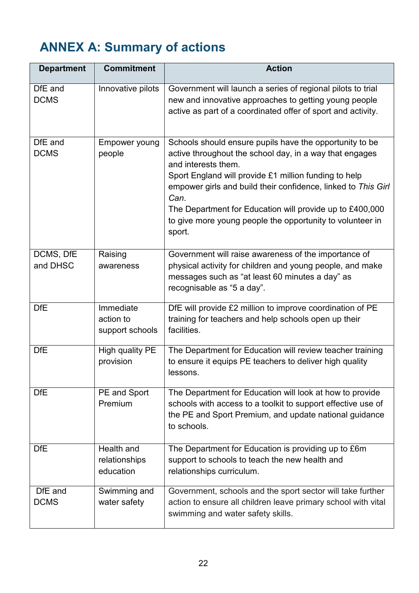## <span id="page-21-0"></span>**ANNEX A: Summary of actions**

| <b>Department</b>      | <b>Commitment</b>                         | <b>Action</b>                                                                                                                                                                                                                                                                                                                                                                                                  |
|------------------------|-------------------------------------------|----------------------------------------------------------------------------------------------------------------------------------------------------------------------------------------------------------------------------------------------------------------------------------------------------------------------------------------------------------------------------------------------------------------|
| DfE and<br><b>DCMS</b> | Innovative pilots                         | Government will launch a series of regional pilots to trial<br>new and innovative approaches to getting young people<br>active as part of a coordinated offer of sport and activity.                                                                                                                                                                                                                           |
| DfE and<br><b>DCMS</b> | Empower young<br>people                   | Schools should ensure pupils have the opportunity to be<br>active throughout the school day, in a way that engages<br>and interests them.<br>Sport England will provide £1 million funding to help<br>empower girls and build their confidence, linked to This Girl<br>Can.<br>The Department for Education will provide up to £400,000<br>to give more young people the opportunity to volunteer in<br>sport. |
| DCMS, DfE<br>and DHSC  | Raising<br>awareness                      | Government will raise awareness of the importance of<br>physical activity for children and young people, and make<br>messages such as "at least 60 minutes a day" as<br>recognisable as "5 a day".                                                                                                                                                                                                             |
| <b>DfE</b>             | Immediate<br>action to<br>support schools | DfE will provide £2 million to improve coordination of PE<br>training for teachers and help schools open up their<br>facilities.                                                                                                                                                                                                                                                                               |
| <b>DfE</b>             | High quality PE<br>provision              | The Department for Education will review teacher training<br>to ensure it equips PE teachers to deliver high quality<br>lessons.                                                                                                                                                                                                                                                                               |
| <b>DfE</b>             | PE and Sport<br>Premium                   | The Department for Education will look at how to provide<br>schools with access to a toolkit to support effective use of<br>the PE and Sport Premium, and update national guidance<br>to schools.                                                                                                                                                                                                              |
| <b>DfE</b>             | Health and<br>relationships<br>education  | The Department for Education is providing up to £6m<br>support to schools to teach the new health and<br>relationships curriculum.                                                                                                                                                                                                                                                                             |
| DfE and<br><b>DCMS</b> | Swimming and<br>water safety              | Government, schools and the sport sector will take further<br>action to ensure all children leave primary school with vital<br>swimming and water safety skills.                                                                                                                                                                                                                                               |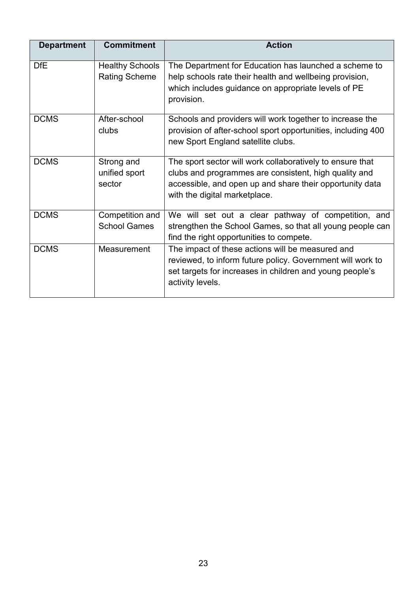| <b>Department</b> | <b>Commitment</b>                              | <b>Action</b>                                                                                                                                                                                                   |
|-------------------|------------------------------------------------|-----------------------------------------------------------------------------------------------------------------------------------------------------------------------------------------------------------------|
| <b>DfE</b>        | <b>Healthy Schools</b><br><b>Rating Scheme</b> | The Department for Education has launched a scheme to<br>help schools rate their health and wellbeing provision,<br>which includes guidance on appropriate levels of PE<br>provision.                           |
| <b>DCMS</b>       | After-school<br>clubs                          | Schools and providers will work together to increase the<br>provision of after-school sport opportunities, including 400<br>new Sport England satellite clubs.                                                  |
| <b>DCMS</b>       | Strong and<br>unified sport<br>sector          | The sport sector will work collaboratively to ensure that<br>clubs and programmes are consistent, high quality and<br>accessible, and open up and share their opportunity data<br>with the digital marketplace. |
| <b>DCMS</b>       | Competition and<br><b>School Games</b>         | We will set out a clear pathway of competition, and<br>strengthen the School Games, so that all young people can<br>find the right opportunities to compete.                                                    |
| <b>DCMS</b>       | Measurement                                    | The impact of these actions will be measured and<br>reviewed, to inform future policy. Government will work to<br>set targets for increases in children and young people's<br>activity levels.                  |